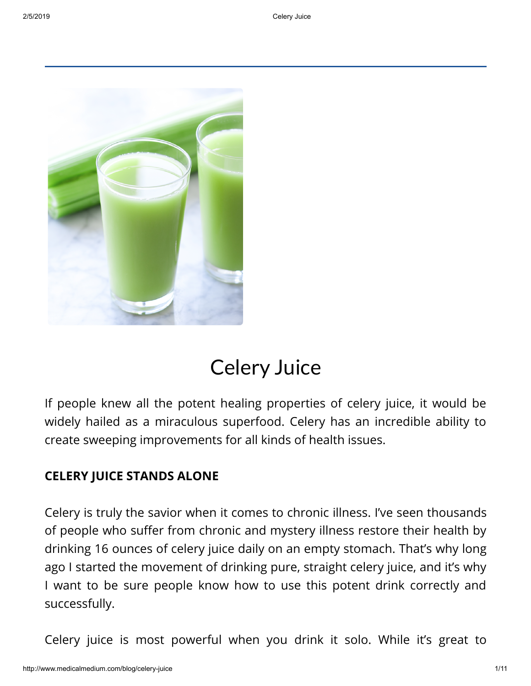

# Celery Juice

If people knew all the potent healing properties of celery juice, it would be widely hailed as a miraculous superfood. Celery has an incredible ability to create sweeping improvements for all kinds of health issues.

## **CELERY JUICE STANDS ALONE**

Celery is truly the savior when it comes to chronic illness. I've seen thousands of people who suffer from chronic and mystery illness restore their health by drinking 16 ounces of celery juice daily on an empty stomach. That's why long ago I started the movement of drinking pure, straight celery juice, and it's why I want to be sure people know how to use this potent drink correctly and successfully.

Celery juice is most powerful when you drink it solo. While it's great to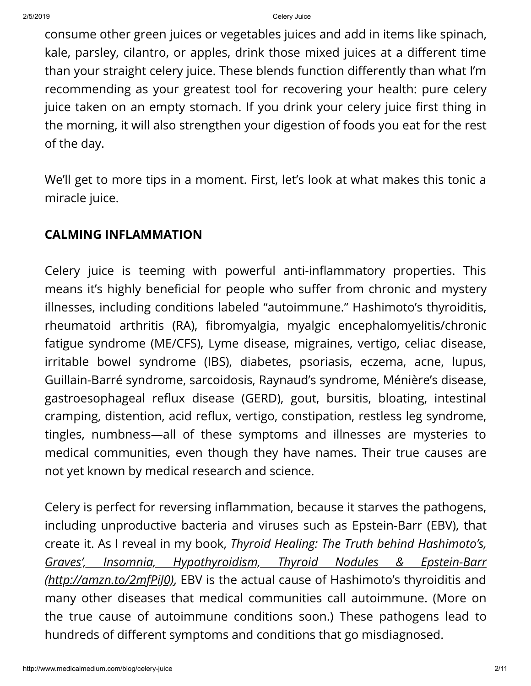consume other green juices or vegetables juices and add in items like spinach, kale, parsley, cilantro, or apples, drink those mixed juices at a different time than your straight celery juice. These blends function differently than what I'm recommending as your greatest tool for recovering your health: pure celery juice taken on an empty stomach. If you drink your celery juice first thing in the morning, it will also strengthen your digestion of foods you eat for the rest of the day.

We'll get to more tips in a moment. First, let's look at what makes this tonic a miracle juice.

# **CALMING INFLAMMATION**

Celery juice is teeming with powerful anti-inflammatory properties. This means it's highly beneficial for people who suffer from chronic and mystery illnesses, including conditions labeled "autoimmune." Hashimoto's thyroiditis, rheumatoid arthritis (RA), fibromyalgia, myalgic encephalomyelitis/chronic fatigue syndrome (ME/CFS), Lyme disease, migraines, vertigo, celiac disease, irritable bowel syndrome (IBS), diabetes, psoriasis, eczema, acne, lupus, Guillain-Barré syndrome, sarcoidosis, Raynaud's syndrome, Ménière's disease, gastroesophageal reflux disease (GERD), gout, bursitis, bloating, intestinal cramping, distention, acid reflux, vertigo, constipation, restless leg syndrome, tingles, numbness—all of these symptoms and illnesses are mysteries to medical communities, even though they have names. Their true causes are not yet known by medical research and science.

Celery is perfect for reversing inflammation, because it starves the pathogens, including unproductive bacteria and viruses such as Epstein-Barr (EBV), that create it. As I reveal in my book, *Thyroid Healing: The Truth behind Hashimoto's, Graves', Insomnia, Hypothyroidism, Thyroid Nodules & Epstein-Barr [\(http://amzn.to/2mfPiJ0\)](http://amzn.to/2mfPiJ0)*, EBV is the actual cause of Hashimoto's thyroiditis and many other diseases that medical communities call autoimmune. (More on the true cause of autoimmune conditions soon.) These pathogens lead to hundreds of different symptoms and conditions that go misdiagnosed.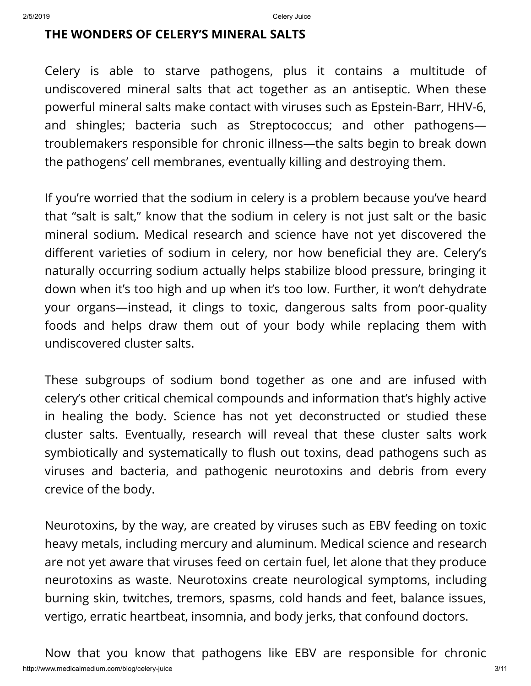### **THE WONDERS OF CELERY'S MINERAL SALTS**

Celery is able to starve pathogens, plus it contains a multitude of undiscovered mineral salts that act together as an antiseptic. When these powerful mineral salts make contact with viruses such as Epstein-Barr, HHV-6, and shingles; bacteria such as Streptococcus; and other pathogens troublemakers responsible for chronic illness—the salts begin to break down the pathogens' cell membranes, eventually killing and destroying them.

If you're worried that the sodium in celery is a problem because you've heard that "salt is salt," know that the sodium in celery is not just salt or the basic mineral sodium. Medical research and science have not yet discovered the different varieties of sodium in celery, nor how beneficial they are. Celery's naturally occurring sodium actually helps stabilize blood pressure, bringing it down when it's too high and up when it's too low. Further, it won't dehydrate your organs—instead, it clings to toxic, dangerous salts from poor-quality foods and helps draw them out of your body while replacing them with undiscovered cluster salts.

These subgroups of sodium bond together as one and are infused with celery's other critical chemical compounds and information that's highly active in healing the body. Science has not yet deconstructed or studied these cluster salts. Eventually, research will reveal that these cluster salts work symbiotically and systematically to flush out toxins, dead pathogens such as viruses and bacteria, and pathogenic neurotoxins and debris from every crevice of the body.

Neurotoxins, by the way, are created by viruses such as EBV feeding on toxic heavy metals, including mercury and aluminum. Medical science and research are not yet aware that viruses feed on certain fuel, let alone that they produce neurotoxins as waste. Neurotoxins create neurological symptoms, including burning skin, twitches, tremors, spasms, cold hands and feet, balance issues, vertigo, erratic heartbeat, insomnia, and body jerks, that confound doctors.

http://www.medicalmedium.com/blog/celery-juice 3/11 Now that you know that pathogens like EBV are responsible for chronic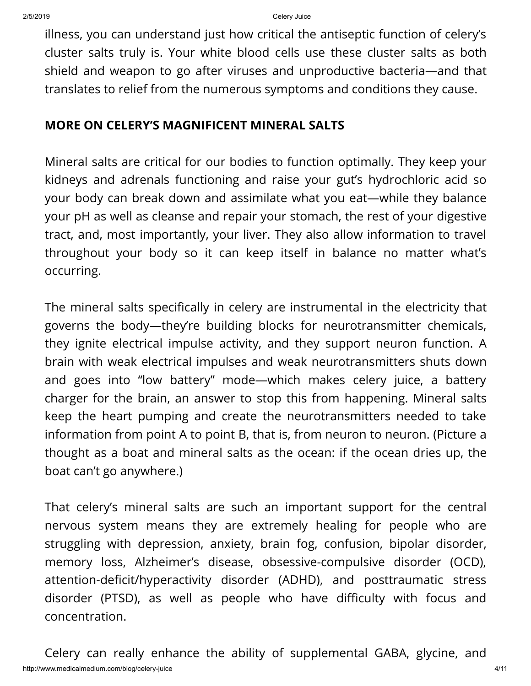illness, you can understand just how critical the antiseptic function of celery's cluster salts truly is. Your white blood cells use these cluster salts as both shield and weapon to go after viruses and unproductive bacteria—and that translates to relief from the numerous symptoms and conditions they cause.

### **MORE ON CELERY'S MAGNIFICENT MINERAL SALTS**

Mineral salts are critical for our bodies to function optimally. They keep your kidneys and adrenals functioning and raise your gut's hydrochloric acid so your body can break down and assimilate what you eat—while they balance your pH as well as cleanse and repair your stomach, the rest of your digestive tract, and, most importantly, your liver. They also allow information to travel throughout your body so it can keep itself in balance no matter what's occurring.

The mineral salts specifically in celery are instrumental in the electricity that governs the body—they're building blocks for neurotransmitter chemicals, they ignite electrical impulse activity, and they support neuron function. A brain with weak electrical impulses and weak neurotransmitters shuts down and goes into "low battery" mode—which makes celery juice, a battery charger for the brain, an answer to stop this from happening. Mineral salts keep the heart pumping and create the neurotransmitters needed to take information from point A to point B, that is, from neuron to neuron. (Picture a thought as a boat and mineral salts as the ocean: if the ocean dries up, the boat can't go anywhere.)

That celery's mineral salts are such an important support for the central nervous system means they are extremely healing for people who are struggling with depression, anxiety, brain fog, confusion, bipolar disorder, memory loss, Alzheimer's disease, obsessive-compulsive disorder (OCD), attention-deficit/hyperactivity disorder (ADHD), and posttraumatic stress disorder (PTSD), as well as people who have difficulty with focus and concentration.

http://www.medicalmedium.com/blog/celery-juice 4/11 Celery can really enhance the ability of supplemental GABA, glycine, and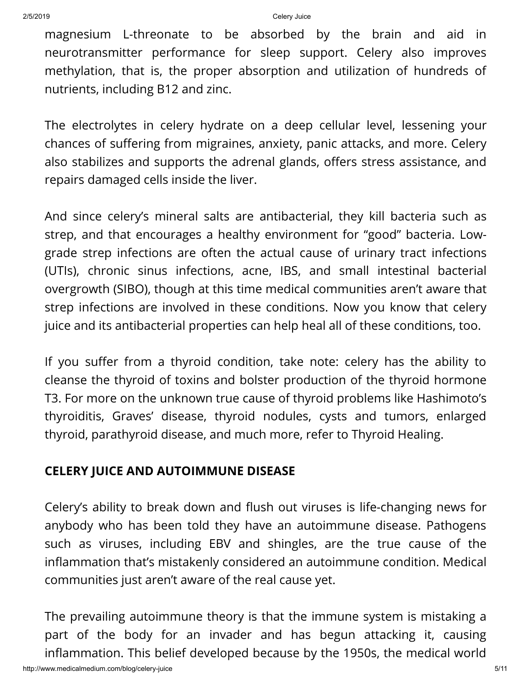magnesium L-threonate to be absorbed by the brain and aid in neurotransmitter performance for sleep support. Celery also improves methylation, that is, the proper absorption and utilization of hundreds of nutrients, including B12 and zinc.

The electrolytes in celery hydrate on a deep cellular level, lessening your chances of suffering from migraines, anxiety, panic attacks, and more. Celery also stabilizes and supports the adrenal glands, offers stress assistance, and repairs damaged cells inside the liver.

And since celery's mineral salts are antibacterial, they kill bacteria such as strep, and that encourages a healthy environment for "good" bacteria. Lowgrade strep infections are often the actual cause of urinary tract infections (UTIs), chronic sinus infections, acne, IBS, and small intestinal bacterial overgrowth (SIBO), though at this time medical communities aren't aware that strep infections are involved in these conditions. Now you know that celery juice and its antibacterial properties can help heal all of these conditions, too.

If you suffer from a thyroid condition, take note: celery has the ability to cleanse the thyroid of toxins and bolster production of the thyroid hormone T3. For more on the unknown true cause of thyroid problems like Hashimoto's thyroiditis, Graves' disease, thyroid nodules, cysts and tumors, enlarged thyroid, parathyroid disease, and much more, refer to Thyroid Healing.

## **CELERY JUICE AND AUTOIMMUNE DISEASE**

Celery's ability to break down and flush out viruses is life-changing news for anybody who has been told they have an autoimmune disease. Pathogens such as viruses, including EBV and shingles, are the true cause of the inflammation that's mistakenly considered an autoimmune condition. Medical communities just aren't aware of the real cause yet.

The prevailing autoimmune theory is that the immune system is mistaking a part of the body for an invader and has begun attacking it, causing inflammation. This belief developed because by the 1950s, the medical world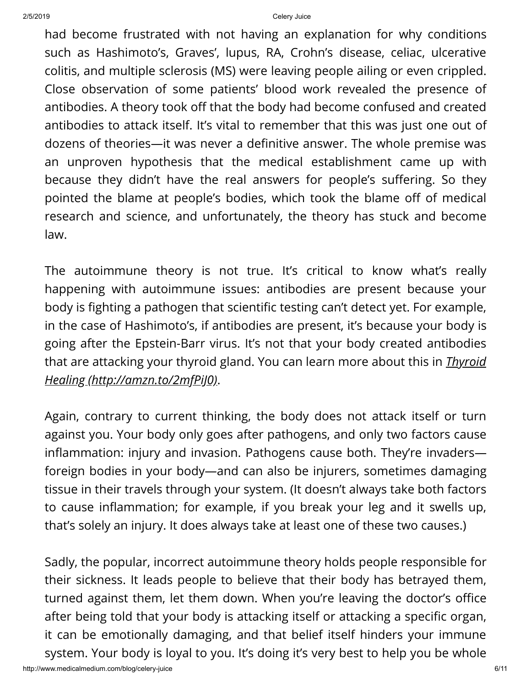had become frustrated with not having an explanation for why conditions such as Hashimoto's, Graves', lupus, RA, Crohn's disease, celiac, ulcerative colitis, and multiple sclerosis (MS) were leaving people ailing or even crippled. Close observation of some patients' blood work revealed the presence of antibodies. A theory took off that the body had become confused and created antibodies to attack itself. It's vital to remember that this was just one out of dozens of theories—it was never a definitive answer. The whole premise was an unproven hypothesis that the medical establishment came up with because they didn't have the real answers for people's suffering. So they pointed the blame at people's bodies, which took the blame off of medical research and science, and unfortunately, the theory has stuck and become law.

The autoimmune theory is not true. It's critical to know what's really happening with autoimmune issues: antibodies are present because your body is fighting a pathogen that scientific testing can't detect yet. For example, in the case of Hashimoto's, if antibodies are present, it's because your body is going after the Epstein-Barr virus. It's not that your body created antibodies that are attacking your thyroid gland. You can learn more about this in *Thyroid Healing [\(http://amzn.to/2mfPiJ0\)](http://amzn.to/2mfPiJ0)*.

Again, contrary to current thinking, the body does not attack itself or turn against you. Your body only goes after pathogens, and only two factors cause inflammation: injury and invasion. Pathogens cause both. They're invaders foreign bodies in your body—and can also be injurers, sometimes damaging tissue in their travels through your system. (It doesn't always take both factors to cause inflammation; for example, if you break your leg and it swells up, that's solely an injury. It does always take at least one of these two causes.)

Sadly, the popular, incorrect autoimmune theory holds people responsible for their sickness. It leads people to believe that their body has betrayed them, turned against them, let them down. When you're leaving the doctor's office after being told that your body is attacking itself or attacking a specific organ, it can be emotionally damaging, and that belief itself hinders your immune system. Your body is loyal to you. It's doing it's very best to help you be whole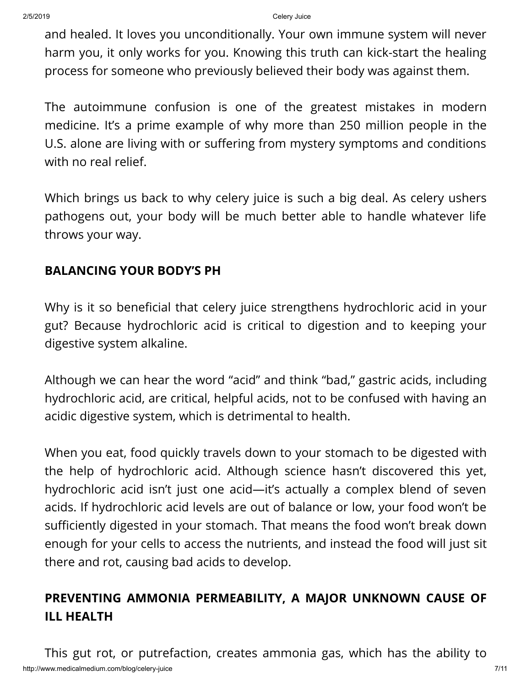and healed. It loves you unconditionally. Your own immune system will never harm you, it only works for you. Knowing this truth can kick-start the healing process for someone who previously believed their body was against them.

The autoimmune confusion is one of the greatest mistakes in modern medicine. It's a prime example of why more than 250 million people in the U.S. alone are living with or suffering from mystery symptoms and conditions with no real relief.

Which brings us back to why celery juice is such a big deal. As celery ushers pathogens out, your body will be much better able to handle whatever life throws your way.

# **BALANCING YOUR BODY'S PH**

Why is it so beneficial that celery juice strengthens hydrochloric acid in your gut? Because hydrochloric acid is critical to digestion and to keeping your digestive system alkaline.

Although we can hear the word "acid" and think "bad," gastric acids, including hydrochloric acid, are critical, helpful acids, not to be confused with having an acidic digestive system, which is detrimental to health.

When you eat, food quickly travels down to your stomach to be digested with the help of hydrochloric acid. Although science hasn't discovered this yet, hydrochloric acid isn't just one acid—it's actually a complex blend of seven acids. If hydrochloric acid levels are out of balance or low, your food won't be sufficiently digested in your stomach. That means the food won't break down enough for your cells to access the nutrients, and instead the food will just sit there and rot, causing bad acids to develop.

# **PREVENTING AMMONIA PERMEABILITY, A MAJOR UNKNOWN CAUSE OF ILL HEALTH**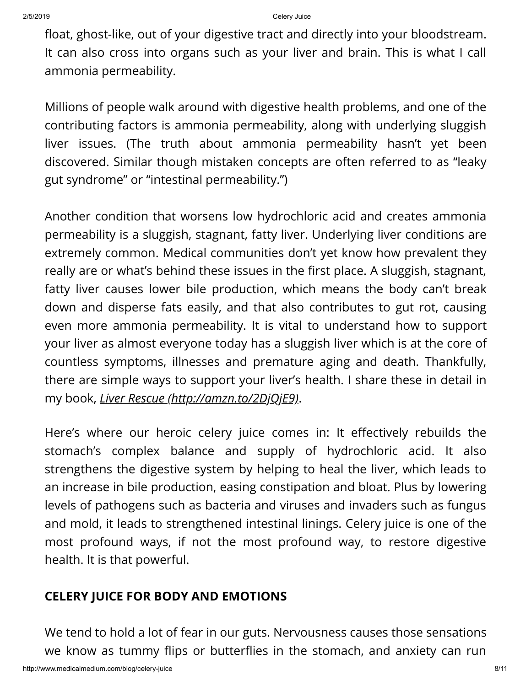float, ghost-like, out of your digestive tract and directly into your bloodstream. It can also cross into organs such as your liver and brain. This is what I call ammonia permeability.

Millions of people walk around with digestive health problems, and one of the contributing factors is ammonia permeability, along with underlying sluggish liver issues. (The truth about ammonia permeability hasn't yet been discovered. Similar though mistaken concepts are often referred to as "leaky gut syndrome" or "intestinal permeability.")

Another condition that worsens low hydrochloric acid and creates ammonia permeability is a sluggish, stagnant, fatty liver. Underlying liver conditions are extremely common. Medical communities don't yet know how prevalent they really are or what's behind these issues in the first place. A sluggish, stagnant, fatty liver causes lower bile production, which means the body can't break down and disperse fats easily, and that also contributes to gut rot, causing even more ammonia permeability. It is vital to understand how to support your liver as almost everyone today has a sluggish liver which is at the core of countless symptoms, illnesses and premature aging and death. Thankfully, there are simple ways to support your liver's health. I share these in detail in my book, *Liver Rescue [\(http://amzn.to/2DjQjE9\)](http://amzn.to/2DjQjE9)*.

Here's where our heroic celery juice comes in: It effectively rebuilds the stomach's complex balance and supply of hydrochloric acid. It also strengthens the digestive system by helping to heal the liver, which leads to an increase in bile production, easing constipation and bloat. Plus by lowering levels of pathogens such as bacteria and viruses and invaders such as fungus and mold, it leads to strengthened intestinal linings. Celery juice is one of the most profound ways, if not the most profound way, to restore digestive health. It is that powerful.

## **CELERY JUICE FOR BODY AND EMOTIONS**

We tend to hold a lot of fear in our guts. Nervousness causes those sensations we know as tummy flips or butterflies in the stomach, and anxiety can run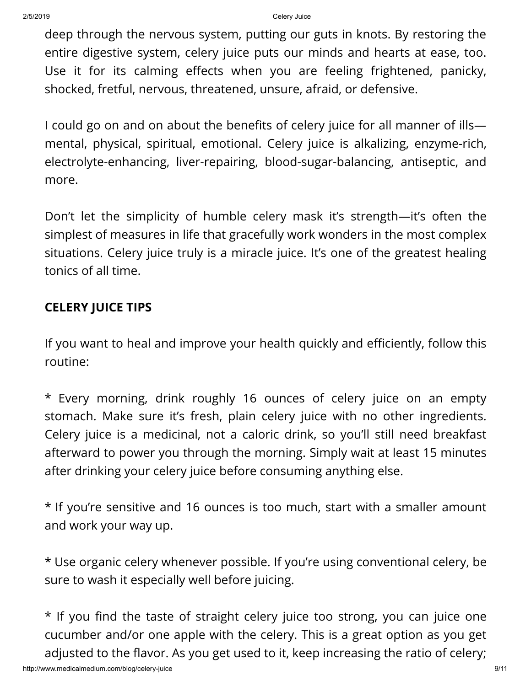deep through the nervous system, putting our guts in knots. By restoring the entire digestive system, celery juice puts our minds and hearts at ease, too. Use it for its calming effects when you are feeling frightened, panicky, shocked, fretful, nervous, threatened, unsure, afraid, or defensive.

I could go on and on about the benefits of celery juice for all manner of illsmental, physical, spiritual, emotional. Celery juice is alkalizing, enzyme-rich, electrolyte-enhancing, liver-repairing, blood-sugar-balancing, antiseptic, and more.

Don't let the simplicity of humble celery mask it's strength—it's often the simplest of measures in life that gracefully work wonders in the most complex situations. Celery juice truly is a miracle juice. It's one of the greatest healing tonics of all time.

# **CELERY JUICE TIPS**

If you want to heal and improve your health quickly and efficiently, follow this routine:

\* Every morning, drink roughly 16 ounces of celery juice on an empty stomach. Make sure it's fresh, plain celery juice with no other ingredients. Celery juice is a medicinal, not a caloric drink, so you'll still need breakfast afterward to power you through the morning. Simply wait at least 15 minutes after drinking your celery juice before consuming anything else.

\* If you're sensitive and 16 ounces is too much, start with a smaller amount and work your way up.

\* Use organic celery whenever possible. If you're using conventional celery, be sure to wash it especially well before juicing.

\* If you find the taste of straight celery juice too strong, you can juice one cucumber and/or one apple with the celery. This is a great option as you get adjusted to the flavor. As you get used to it, keep increasing the ratio of celery;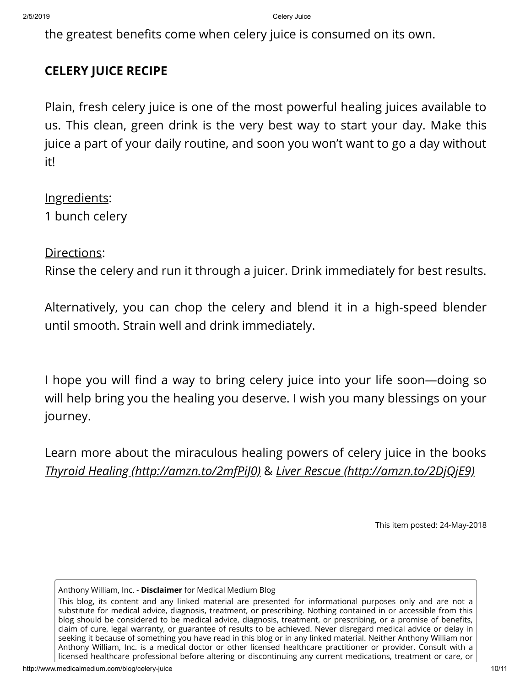the greatest benefits come when celery juice is consumed on its own.

# **CELERY JUICE RECIPE**

Plain, fresh celery juice is one of the most powerful healing juices available to us. This clean, green drink is the very best way to start your day. Make this juice a part of your daily routine, and soon you won't want to go a day without it!

Ingredients: 1 bunch celery

Directions:

Rinse the celery and run it through a juicer. Drink immediately for best results.

Alternatively, you can chop the celery and blend it in a high-speed blender until smooth. Strain well and drink immediately.

I hope you will find a way to bring celery juice into your life soon—doing so will help bring you the healing you deserve. I wish you many blessings on your journey.

Learn more about the miraculous healing powers of celery juice in the books *Thyroid Healing [\(http://amzn.to/2mfPiJ0\)](http://amzn.to/2mfPiJ0)* & *Liver Rescue [\(http://amzn.to/2DjQjE9\)](http://amzn.to/2DjQjE9)*

This item posted: 24-May-2018

Anthony William, Inc. - **Disclaimer** for Medical Medium Blog

This blog, its content and any linked material are presented for informational purposes only and are not a substitute for medical advice, diagnosis, treatment, or prescribing. Nothing contained in or accessible from this blog should be considered to be medical advice, diagnosis, treatment, or prescribing, or a promise of benefits, claim of cure, legal warranty, or guarantee of results to be achieved. Never disregard medical advice or delay in seeking it because of something you have read in this blog or in any linked material. Neither Anthony William nor Anthony William, Inc. is a medical doctor or other licensed healthcare practitioner or provider. Consult with a licensed healthcare professional before altering or discontinuing any current medications, treatment or care, or